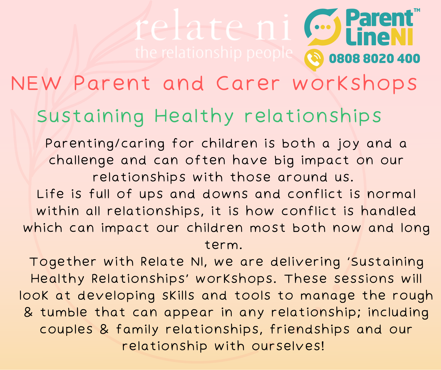## **Parent PN** 0808 8020 400

## NEW Parent and Carer workshops

## Sustaining Healthy relationships

Parenting/caring for children is both a joy and a challenge and can often have big impact on our relationships with those around us.

Life is full of ups and downs and conflict is normal within all relationships, it is how conflict is handled which can impact our children most both now and long term.

Together with Relate NI, we are delivering 'Sustaining Healthy Relationships' workshops. These sessions will look at developing skills and tools to manage the rough & tumble that can appear in any relationship; including couples & family relationships, friendships and our relationship with ourselves!